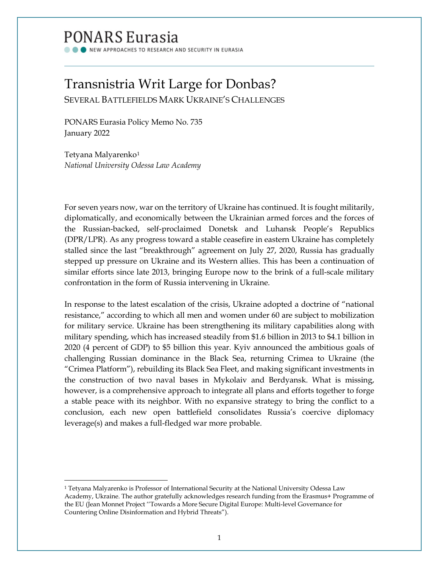# PONARS Eurasia

NEW APPROACHES TO RESEARCH AND SECURITY IN EURASIA

# Transnistria Writ Large for Donbas?

SEVERAL BATTLEFIELDS MARK UKRAINE'S CHALLENGES

PONARS Eurasia Policy Memo No. 735 January 2022

Tetyana Malyarenko<sup>[1](#page-0-0)</sup> *National University Odessa Law Academy*

For seven years now, war on the territory of Ukraine has continued. It is fought militarily, diplomatically, and economically between the Ukrainian armed forces and the forces of the Russian-backed, self-proclaimed Donetsk and Luhansk People's Republics (DPR/LPR). As any progress toward a stable ceasefire in eastern Ukraine has completely stalled since the last "breakthrough" agreement on July 27, 2020, Russia has gradually stepped up pressure on Ukraine and its Western allies. This has been a continuation of similar efforts since late 2013, bringing Europe now to the brink of a full-scale military confrontation in the form of Russia intervening in Ukraine.

In response to the latest escalation of the crisis, Ukraine adopted a doctrine of "national resistance," according to which all men and women under 60 are subject to mobilization for military service. Ukraine has been strengthening its military capabilities along with military spending, which has increased steadily from \$1.6 billion in 2013 to \$4.1 billion in 2020 (4 percent of GDP) to \$5 billion this year. Kyiv announced the ambitious goals of challenging Russian dominance in the Black Sea, returning Crimea to Ukraine (the "Crimea Platform"), rebuilding its Black Sea Fleet, and making significant investments in the construction of two naval bases in Mykolaiv and Berdyansk. What is missing, however, is a comprehensive approach to integrate all plans and efforts together to forge a stable peace with its neighbor. With no expansive strategy to bring the conflict to a conclusion, each new open battlefield consolidates Russia's coercive diplomacy leverage(s) and makes a full-fledged war more probable.

<span id="page-0-0"></span><sup>&</sup>lt;sup>1</sup> Tetyana Malyarenko is Professor of International Security at the National University Odessa Law Academy, Ukraine. The author gratefully acknowledges research funding from the Erasmus+ Programme of the EU (Jean Monnet Project ''Towards a More Secure Digital Europe: Multi-level Governance for Countering Online Disinformation and Hybrid Threats").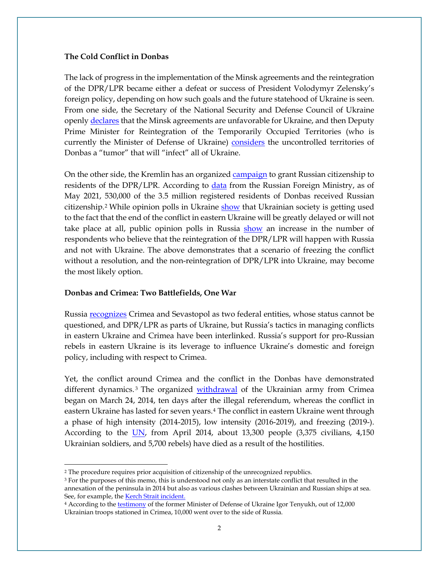#### **The Cold Conflict in Donbas**

The lack of progress in the implementation of the Minsk agreements and the reintegration of the DPR/LPR became either a defeat or success of President Volodymyr Zelensky's foreign policy, depending on how such goals and the future statehood of Ukraine is seen. From one side, the Secretary of the National Security and Defense Council of Ukraine openly [declares](https://news.liga.net/politics/news/danilov-o-minskih-soglasheniyah-denonsirovat-ne-budem-no-vypolnit-ih-nevozmojno) that the Minsk agreements are unfavorable for Ukraine, and then Deputy Prime Minister for Reintegration of the Temporarily Occupied Territories (who is currently the Minister of Defense of Ukraine) [considers](https://news.liga.net/politics/news/danilov-o-minskih-soglasheniyah-denonsirovat-ne-budem-no-vypolnit-ih-nevozmojno) the uncontrolled territories of Donbas a "tumor" that will "infect" all of Ukraine.

On the other side, the Kremlin has an organize[d campaign](http://kremlin.ru/acts/news/60358) to grant Russian citizenship to residents of the DPR/LPR. According to [data](https://tass.ru/obschestvo/11296643) from the Russian Foreign Ministry, as of May 2021, 530,000 of the 3.5 million registered residents of Donbas received Russian citizenship.<sup>[2](#page-1-0)</sup> While opinion polls in Ukraine [show](https://dif.org.ua/article/shcho-perezhili-ukraina-ta-svit-u-2020-rotsi-y-chogo-nam-chekati-2021-go-politichni-y-ekonomichni-prognozi) that Ukrainian society is getting used to the fact that the end of the conflict in eastern Ukraine will be greatly delayed or will not take place at all, public opinion polls in Russia [show](https://www.levada.ru/2021/04/15/ukraina-i-donbass/) an increase in the number of respondents who believe that the reintegration of the DPR/LPR will happen with Russia and not with Ukraine. The above demonstrates that a scenario of freezing the conflict without a resolution, and the non-reintegration of DPR/LPR into Ukraine, may become the most likely option.

#### **Donbas and Crimea: Two Battlefields, One War**

Russia <u>recognizes</u> Crimea and Sevastopol as two federal entities, whose status cannot be questioned, and DPR/LPR as parts of Ukraine, but Russia's tactics in managing conflicts in eastern Ukraine and Crimea have been interlinked. Russia's support for pro-Russian rebels in eastern Ukraine is its leverage to influence Ukraine's domestic and foreign policy, including with respect to Crimea.

Yet, the conflict around Crimea and the conflict in the Donbas have demonstrated different dynamics. [3](#page-1-1) The organized [withdrawal](https://www.bbc.com/ukrainian/features-russian-43003911) of the Ukrainian army from Crimea began on March 24, 2014, ten days after the illegal referendum, whereas the conflict in eastern Ukraine has lasted for seven years.[4](#page-1-2) The conflict in eastern Ukraine went through a phase of high intensity (2014-2015), low intensity (2016-2019), and freezing (2019-). According to the [UN,](https://www.radiosvoboda.org/a/news-oon-kst-gertv-boyovyh-donbas/31110937.html) from April 2014, about 13,300 people (3,375 civilians, 4,150 Ukrainian soldiers, and 5,700 rebels) have died as a result of the hostilities.

<span id="page-1-0"></span><sup>2</sup> The procedure requires prior acquisition of citizenship of the unrecognized republics.

<span id="page-1-1"></span><sup>&</sup>lt;sup>3</sup> For the purposes of this memo, this is understood not only as an interstate conflict that resulted in the annexation of the peninsula in 2014 but also as various clashes between Ukrainian and Russian ships at sea. See, for example, the **Kerch Strait incident**.

<span id="page-1-2"></span><sup>&</sup>lt;sup>4</sup> According to the **testimony** of the former Minister of Defense of Ukraine Igor Tenyukh, out of 12,000 Ukrainian troops stationed in Crimea, 10,000 went over to the side of Russia.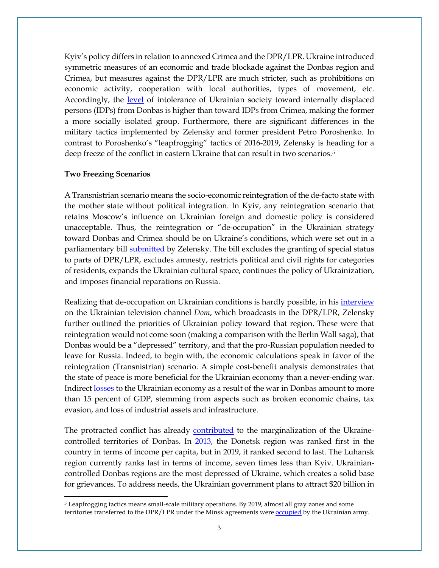Kyiv's policy differs in relation to annexed Crimea and the DPR/LPR. Ukraine introduced symmetric measures of an economic and trade blockade against the Donbas region and Crimea, but measures against the DPR/LPR are much stricter, such as prohibitions on economic activity, cooperation with local authorities, types of movement, etc. Accordingly, the [level](https://doi.org/10.1080/09668136.2020.1719043) of intolerance of Ukrainian society toward internally displaced persons (IDPs) from Donbas is higher than toward IDPs from Crimea, making the former a more socially isolated group. Furthermore, there are significant differences in the military tactics implemented by Zelensky and former president Petro Poroshenko. In contrast to Poroshenko's "leapfrogging" tactics of 2016-2019, Zelensky is heading for a deep freeze of the conflict in eastern Ukraine that can result in two scenarios.<sup>[5](#page-2-0)</sup>

## **Two Freezing Scenarios**

A Transnistrian scenario means the socio-economic reintegration of the de-facto state with the mother state without political integration. In Kyiv, any reintegration scenario that retains Moscow's influence on Ukrainian foreign and domestic policy is considered unacceptable. Thus, the reintegration or "de-occupation" in the Ukrainian strategy toward Donbas and Crimea should be on Ukraine's conditions, which were set out in a parliamentary bill [submitted](https://www.minre.gov.ua/sites/default/files/1._zakonoproyekt_pro_zasady_dppp.pdf) by Zelensky. The bill excludes the granting of special status to parts of DPR/LPR, excludes amnesty, restricts political and civil rights for categories of residents, expands the Ukrainian cultural space, continues the policy of Ukrainization, and imposes financial reparations on Russia.

Realizing that de-occupation on Ukrainian conditions is hardly possible, in his [interview](https://www.youtube.com/watch?v=XzndR26FSug) on the Ukrainian television channel *Dom*, which broadcasts in the DPR/LPR, Zelensky further outlined the priorities of Ukrainian policy toward that region. These were that reintegration would not come soon (making a comparison with the Berlin Wall saga), that Donbas would be a "depressed" territory, and that the pro-Russian population needed to leave for Russia. Indeed, to begin with, the economic calculations speak in favor of the reintegration (Transnistrian) scenario. A simple cost-benefit analysis demonstrates that the state of peace is more beneficial for the Ukrainian economy than a never-ending war. Indirec[t losses](https://www.diw.de/documents/publikationen/73/diw_01.c.622006.de/dp1804.pdf) to the Ukrainian economy as a result of the war in Donbas amount to more than 15 percent of GDP, stemming from aspects such as broken economic chains, tax evasion, and loss of industrial assets and infrastructure.

The protracted conflict has already [contributed](https://uiamp.org.ua/ukrainskiy-institut-politiki-prezentoval-issledovanie-cena-voyny-stoimost-i-posledstviya-voyny-na) to the marginalization of the Ukraine-controlled territories of Donbas. In [2013,](http://www.ukrstat.gov.ua/operativ/operativ2008/gdn/dvn_ric/dvn_ric_u/dn_reg2013_u.html) the Donetsk region was ranked first in the country in terms of income per capita, but in 2019, it ranked second to last. The Luhansk region currently ranks last in terms of income, seven times less than Kyiv. Ukrainiancontrolled Donbas regions are the most depressed of Ukraine, which creates a solid base for grievances. To address needs, the Ukrainian government plans to attract \$20 billion in

<span id="page-2-0"></span><sup>&</sup>lt;sup>5</sup> Leapfrogging tactics means small-scale military operations. By 2019, almost all gray zones and some territories transferred to the DPR/LPR under the Minsk agreements were **occupied** by the Ukrainian army.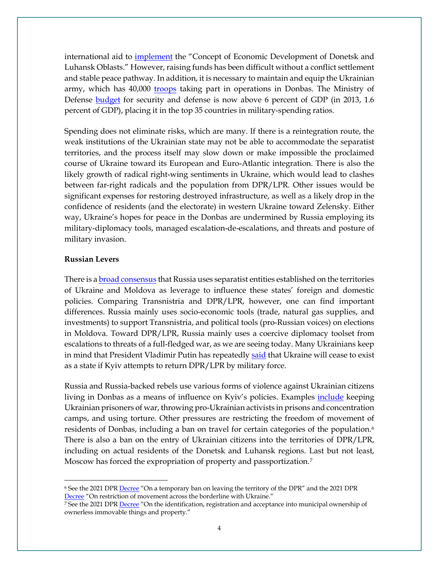international aid to [implement](https://www.kmu.gov.ua/news/uryad-shvaliv-koncepciyu-ekonomichnogo-rozvitku-doneckoyi-i-luganskoyi-oblastej) the "Concept of Economic Development of Donetsk and Luhansk Oblasts." However, raising funds has been difficult without a conflict settlement and stable peace pathway. In addition, it is necessary to maintain and equip the Ukrainian army, which has 40,000 [troops](https://www.ukrmilitary.com/2020/08/zsu.html) taking part in operations in Donbas. The Ministry of Defense [budget](https://www.ukrmilitary.com/2020/12/budget2021.html) for security and defense is now above 6 percent of GDP (in 2013, 1.6 percent of GDP), placing it in the top 35 countries in military-spending ratios.

Spending does not eliminate risks, which are many. If there is a reintegration route, the weak institutions of the Ukrainian state may not be able to accommodate the separatist territories, and the process itself may slow down or make impossible the proclaimed course of Ukraine toward its European and Euro-Atlantic integration. There is also the likely growth of radical right-wing sentiments in Ukraine, which would lead to clashes between far-right radicals and the population from DPR/LPR. Other issues would be significant expenses for restoring destroyed infrastructure, as well as a likely drop in the confidence of residents (and the electorate) in western Ukraine toward Zelensky. Either way, Ukraine's hopes for peace in the Donbas are undermined by Russia employing its military-diplomacy tools, managed escalation-de-escalations, and threats and posture of military invasion.

#### **Russian Levers**

There is a [broad consensus](https://www.tandfonline.com/doi/full/10.1080/1060586X.2018.1425083) that Russia uses separatist entities established on the territories of Ukraine and Moldova as leverage to influence these states' foreign and domestic policies. Comparing Transnistria and DPR/LPR, however, one can find important differences. Russia mainly uses socio-economic tools (trade, natural gas supplies, and investments) to support Transnistria, and political tools (pro-Russian voices) on elections in Moldova. Toward DPR/LPR, Russia mainly uses a coercive diplomacy toolset from escalations to threats of a full-fledged war, as we are seeing today. Many Ukrainians keep in mind that President Vladimir Putin has repeatedly [said](https://www.rbc.ru/politics/07/06/2018/5b190ca19a794743fd6aef44) that Ukraine will cease to exist as a state if Kyiv attempts to return DPR/LPR by military force.

Russia and Russia-backed rebels use various forms of violence against Ukrainian citizens living in Donbas as a means of influence on Kyiv's policies. Examples *include* keeping Ukrainian prisoners of war, throwing pro-Ukrainian activists in prisons and concentration camps, and using torture. Other pressures are restricting the freedom of movement of residents of Donbas, including a ban on travel for certain categories of the population.<sup>[6](#page-3-0)</sup> There is also a ban on the entry of Ukrainian citizens into the territories of DPR/LPR, including on actual residents of the Donetsk and Luhansk regions. Last but not least, Moscow has forced the expropriation of property and passportization[.7](#page-3-1)

<span id="page-3-0"></span><sup>&</sup>lt;sup>6</sup> See the 2021 DPR **Decree** "On a temporary ban on leaving the territory of the DPR" and the 2021 DPR [Decree](https://denis-pushilin.ru/doc/ukazy/Ukaz_N197_21062020.pdf) "On restriction of movement across the borderline with Ukraine."

<span id="page-3-1"></span><sup>&</sup>lt;sup>7</sup> See the 2021 DPR **Decree** "On the identification, registration and acceptance into municipal ownership of ownerless immovable things and property."